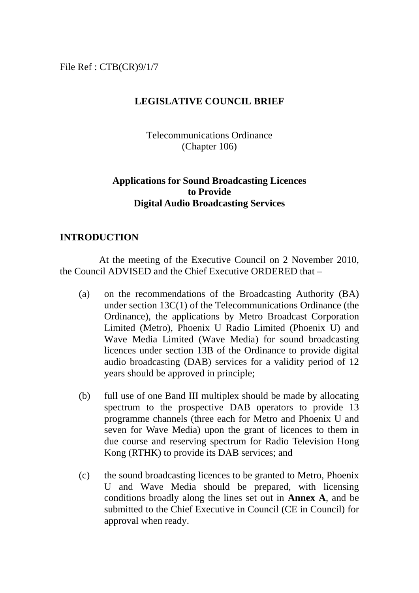File Ref : CTB(CR)9/1/7

### **LEGISLATIVE COUNCIL BRIEF**

Telecommunications Ordinance (Chapter 106)

### **Applications for Sound Broadcasting Licences to Provide Digital Audio Broadcasting Services**

### **INTRODUCTION**

 At the meeting of the Executive Council on 2 November 2010, the Council ADVISED and the Chief Executive ORDERED that –

- (a) on the recommendations of the Broadcasting Authority (BA) under section 13C(1) of the Telecommunications Ordinance (the Ordinance), the applications by Metro Broadcast Corporation Limited (Metro), Phoenix U Radio Limited (Phoenix U) and Wave Media Limited (Wave Media) for sound broadcasting licences under section 13B of the Ordinance to provide digital audio broadcasting (DAB) services for a validity period of 12 years should be approved in principle;
- (b) full use of one Band III multiplex should be made by allocating spectrum to the prospective DAB operators to provide 13 programme channels (three each for Metro and Phoenix U and seven for Wave Media) upon the grant of licences to them in due course and reserving spectrum for Radio Television Hong Kong (RTHK) to provide its DAB services; and
- (c) the sound broadcasting licences to be granted to Metro, Phoenix U and Wave Media should be prepared, with licensing conditions broadly along the lines set out in **Annex A**, and be submitted to the Chief Executive in Council (CE in Council) for approval when ready.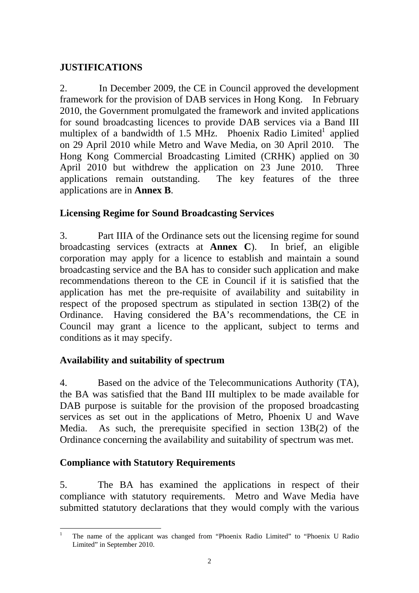# **JUSTIFICATIONS**

2. In December 2009, the CE in Council approved the development framework for the provision of DAB services in Hong Kong. In February 2010, the Government promulgated the framework and invited applications for sound broadcasting licences to provide DAB services via a Band III multiplex of a bandwidth of 1.5 MHz. Phoenix Radio Limited<sup>1</sup> applied on 29 April 2010 while Metro and Wave Media, on 30 April 2010. The Hong Kong Commercial Broadcasting Limited (CRHK) applied on 30 April 2010 but withdrew the application on 23 June 2010. Three applications remain outstanding. The key features of the three applications are in **Annex B**.

# **Licensing Regime for Sound Broadcasting Services**

3. Part IIIA of the Ordinance sets out the licensing regime for sound broadcasting services (extracts at **Annex C**). In brief, an eligible corporation may apply for a licence to establish and maintain a sound broadcasting service and the BA has to consider such application and make recommendations thereon to the CE in Council if it is satisfied that the application has met the pre-requisite of availability and suitability in respect of the proposed spectrum as stipulated in section 13B(2) of the Ordinance. Having considered the BA's recommendations, the CE in Council may grant a licence to the applicant, subject to terms and conditions as it may specify.

## **Availability and suitability of spectrum**

4. Based on the advice of the Telecommunications Authority (TA), the BA was satisfied that the Band III multiplex to be made available for DAB purpose is suitable for the provision of the proposed broadcasting services as set out in the applications of Metro, Phoenix U and Wave Media. As such, the prerequisite specified in section 13B(2) of the Ordinance concerning the availability and suitability of spectrum was met.

# **Compliance with Statutory Requirements**

5. The BA has examined the applications in respect of their compliance with statutory requirements. Metro and Wave Media have submitted statutory declarations that they would comply with the various

<sup>&</sup>lt;u>.</u> 1 The name of the applicant was changed from "Phoenix Radio Limited" to "Phoenix U Radio Limited" in September 2010.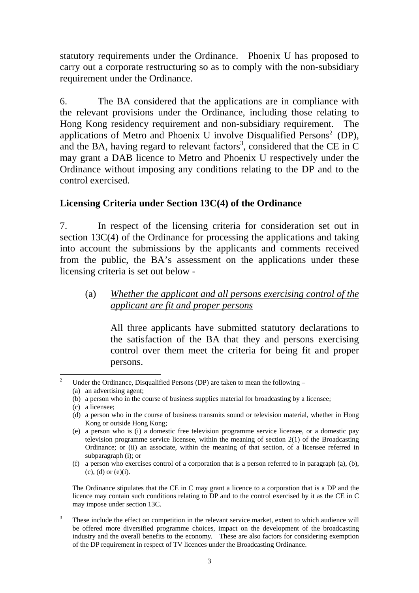statutory requirements under the Ordinance. Phoenix U has proposed to carry out a corporate restructuring so as to comply with the non-subsidiary requirement under the Ordinance.

6. The BA considered that the applications are in compliance with the relevant provisions under the Ordinance, including those relating to Hong Kong residency requirement and non-subsidiary requirement. The applications of Metro and Phoenix U involve Disqualified Persons<sup>2</sup> (DP), and the BA, having regard to relevant factors<sup>3</sup>, considered that the CE in C may grant a DAB licence to Metro and Phoenix U respectively under the Ordinance without imposing any conditions relating to the DP and to the control exercised.

## **Licensing Criteria under Section 13C(4) of the Ordinance**

7. In respect of the licensing criteria for consideration set out in section 13C(4) of the Ordinance for processing the applications and taking into account the submissions by the applicants and comments received from the public, the BA's assessment on the applications under these licensing criteria is set out below -

## (a) *Whether the applicant and all persons exercising control of the applicant are fit and proper persons*

 All three applicants have submitted statutory declarations to the satisfaction of the BA that they and persons exercising control over them meet the criteria for being fit and proper persons.

The Ordinance stipulates that the CE in C may grant a licence to a corporation that is a DP and the licence may contain such conditions relating to DP and to the control exercised by it as the CE in C may impose under section 13C.

3 These include the effect on competition in the relevant service market, extent to which audience will be offered more diversified programme choices, impact on the development of the broadcasting industry and the overall benefits to the economy. These are also factors for considering exemption of the DP requirement in respect of TV licences under the Broadcasting Ordinance.

 $\frac{1}{2}$  Under the Ordinance, Disqualified Persons (DP) are taken to mean the following – (a) an advertising agent;

<sup>(</sup>b) a person who in the course of business supplies material for broadcasting by a licensee;

<sup>(</sup>c) a licensee;

<sup>(</sup>d) a person who in the course of business transmits sound or television material, whether in Hong Kong or outside Hong Kong;

<sup>(</sup>e) a person who is (i) a domestic free television programme service licensee, or a domestic pay television programme service licensee, within the meaning of section 2(1) of the Broadcasting Ordinance; or (ii) an associate, within the meaning of that section, of a licensee referred in subparagraph (i); or

<sup>(</sup>f) a person who exercises control of a corporation that is a person referred to in paragraph (a), (b),  $(c)$ ,  $(d)$  or  $(e)(i)$ .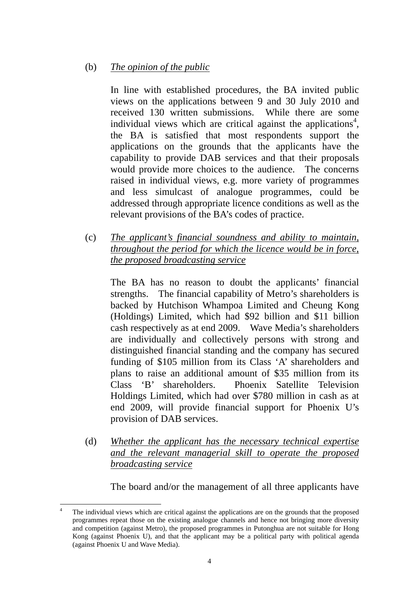### (b) *The opinion of the public*

 In line with established procedures, the BA invited public views on the applications between 9 and 30 July 2010 and received 130 written submissions. While there are some individual views which are critical against the applications<sup>4</sup>, the BA is satisfied that most respondents support the applications on the grounds that the applicants have the capability to provide DAB services and that their proposals would provide more choices to the audience. The concerns raised in individual views, e.g. more variety of programmes and less simulcast of analogue programmes, could be addressed through appropriate licence conditions as well as the relevant provisions of the BA's codes of practice.

(c) *The applicant's financial soundness and ability to maintain, throughout the period for which the licence would be in force, the proposed broadcasting service*

 The BA has no reason to doubt the applicants' financial strengths. The financial capability of Metro's shareholders is backed by Hutchison Whampoa Limited and Cheung Kong (Holdings) Limited, which had \$92 billion and \$11 billion cash respectively as at end 2009. Wave Media's shareholders are individually and collectively persons with strong and distinguished financial standing and the company has secured funding of \$105 million from its Class 'A' shareholders and plans to raise an additional amount of \$35 million from its Class 'B' shareholders. Phoenix Satellite Television Holdings Limited, which had over \$780 million in cash as at end 2009, will provide financial support for Phoenix U's provision of DAB services.

(d) *Whether the applicant has the necessary technical expertise and the relevant managerial skill to operate the proposed broadcasting service*

The board and/or the management of all three applicants have

<sup>&</sup>lt;u>.</u> 4 The individual views which are critical against the applications are on the grounds that the proposed programmes repeat those on the existing analogue channels and hence not bringing more diversity and competition (against Metro), the proposed programmes in Putonghua are not suitable for Hong Kong (against Phoenix U), and that the applicant may be a political party with political agenda (against Phoenix U and Wave Media).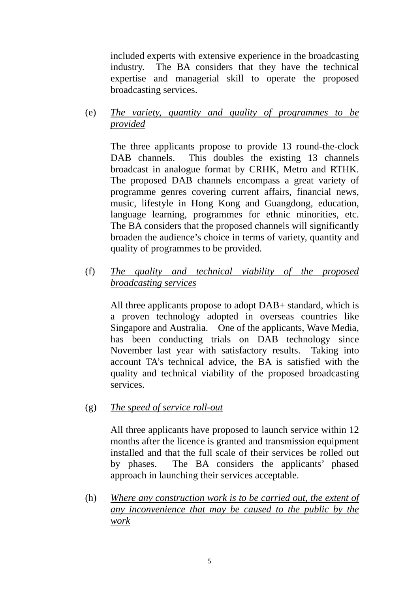included experts with extensive experience in the broadcasting industry. The BA considers that they have the technical expertise and managerial skill to operate the proposed broadcasting services.

(e) *The variety, quantity and quality of programmes to be provided*

 The three applicants propose to provide 13 round-the-clock DAB channels. This doubles the existing 13 channels broadcast in analogue format by CRHK, Metro and RTHK. The proposed DAB channels encompass a great variety of programme genres covering current affairs, financial news, music, lifestyle in Hong Kong and Guangdong, education, language learning, programmes for ethnic minorities, etc. The BA considers that the proposed channels will significantly broaden the audience's choice in terms of variety, quantity and quality of programmes to be provided.

(f) *The quality and technical viability of the proposed broadcasting services*

 All three applicants propose to adopt DAB+ standard, which is a proven technology adopted in overseas countries like Singapore and Australia. One of the applicants, Wave Media, has been conducting trials on DAB technology since November last year with satisfactory results. Taking into account TA's technical advice, the BA is satisfied with the quality and technical viability of the proposed broadcasting services.

(g) *The speed of service roll-out*

 All three applicants have proposed to launch service within 12 months after the licence is granted and transmission equipment installed and that the full scale of their services be rolled out by phases. The BA considers the applicants' phased approach in launching their services acceptable.

(h) *Where any construction work is to be carried out, the extent of any inconvenience that may be caused to the public by the work*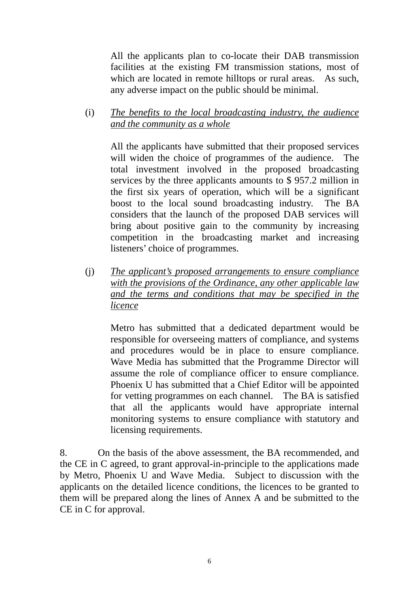All the applicants plan to co-locate their DAB transmission facilities at the existing FM transmission stations, most of which are located in remote hilltops or rural areas. As such, any adverse impact on the public should be minimal.

(i) *The benefits to the local broadcasting industry, the audience and the community as a whole*

 All the applicants have submitted that their proposed services will widen the choice of programmes of the audience. The total investment involved in the proposed broadcasting services by the three applicants amounts to \$ 957.2 million in the first six years of operation, which will be a significant boost to the local sound broadcasting industry. The BA considers that the launch of the proposed DAB services will bring about positive gain to the community by increasing competition in the broadcasting market and increasing listeners' choice of programmes.

(j) *The applicant's proposed arrangements to ensure compliance with the provisions of the Ordinance, any other applicable law and the terms and conditions that may be specified in the licence*

 Metro has submitted that a dedicated department would be responsible for overseeing matters of compliance, and systems and procedures would be in place to ensure compliance. Wave Media has submitted that the Programme Director will assume the role of compliance officer to ensure compliance. Phoenix U has submitted that a Chief Editor will be appointed for vetting programmes on each channel. The BA is satisfied that all the applicants would have appropriate internal monitoring systems to ensure compliance with statutory and licensing requirements.

8. On the basis of the above assessment, the BA recommended, and the CE in C agreed, to grant approval-in-principle to the applications made by Metro, Phoenix U and Wave Media. Subject to discussion with the applicants on the detailed licence conditions, the licences to be granted to them will be prepared along the lines of Annex A and be submitted to the CE in C for approval.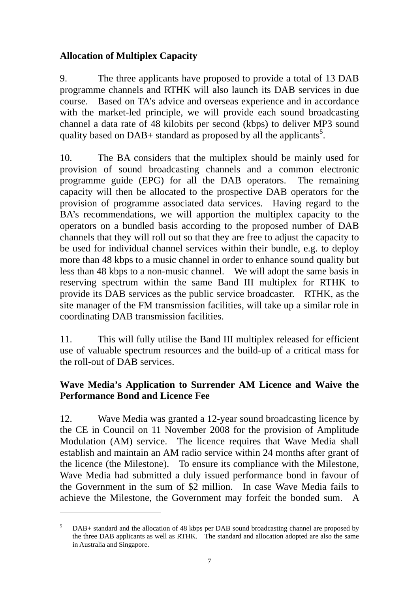# **Allocation of Multiplex Capacity**

9. The three applicants have proposed to provide a total of 13 DAB programme channels and RTHK will also launch its DAB services in due course. Based on TA's advice and overseas experience and in accordance with the market-led principle, we will provide each sound broadcasting channel a data rate of 48 kilobits per second (kbps) to deliver MP3 sound quality based on DAB+ standard as proposed by all the applicants<sup>5</sup>.

10. The BA considers that the multiplex should be mainly used for provision of sound broadcasting channels and a common electronic programme guide (EPG) for all the DAB operators. The remaining capacity will then be allocated to the prospective DAB operators for the provision of programme associated data services. Having regard to the BA's recommendations, we will apportion the multiplex capacity to the operators on a bundled basis according to the proposed number of DAB channels that they will roll out so that they are free to adjust the capacity to be used for individual channel services within their bundle, e.g. to deploy more than 48 kbps to a music channel in order to enhance sound quality but less than 48 kbps to a non-music channel. We will adopt the same basis in reserving spectrum within the same Band III multiplex for RTHK to provide its DAB services as the public service broadcaster. RTHK, as the site manager of the FM transmission facilities, will take up a similar role in coordinating DAB transmission facilities.

11. This will fully utilise the Band III multiplex released for efficient use of valuable spectrum resources and the build-up of a critical mass for the roll-out of DAB services.

## **Wave Media's Application to Surrender AM Licence and Waive the Performance Bond and Licence Fee**

12. Wave Media was granted a 12-year sound broadcasting licence by the CE in Council on 11 November 2008 for the provision of Amplitude Modulation (AM) service. The licence requires that Wave Media shall establish and maintain an AM radio service within 24 months after grant of the licence (the Milestone). To ensure its compliance with the Milestone, Wave Media had submitted a duly issued performance bond in favour of the Government in the sum of \$2 million. In case Wave Media fails to achieve the Milestone, the Government may forfeit the bonded sum. A

1

<sup>5</sup> DAB+ standard and the allocation of 48 kbps per DAB sound broadcasting channel are proposed by the three DAB applicants as well as RTHK. The standard and allocation adopted are also the same in Australia and Singapore.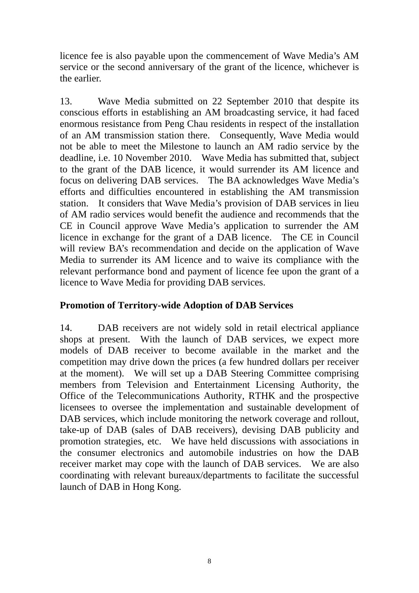licence fee is also payable upon the commencement of Wave Media's AM service or the second anniversary of the grant of the licence, whichever is the earlier.

13. Wave Media submitted on 22 September 2010 that despite its conscious efforts in establishing an AM broadcasting service, it had faced enormous resistance from Peng Chau residents in respect of the installation of an AM transmission station there. Consequently, Wave Media would not be able to meet the Milestone to launch an AM radio service by the deadline, i.e. 10 November 2010. Wave Media has submitted that, subject to the grant of the DAB licence, it would surrender its AM licence and focus on delivering DAB services. The BA acknowledges Wave Media's efforts and difficulties encountered in establishing the AM transmission station. It considers that Wave Media's provision of DAB services in lieu of AM radio services would benefit the audience and recommends that the CE in Council approve Wave Media's application to surrender the AM licence in exchange for the grant of a DAB licence. The CE in Council will review BA's recommendation and decide on the application of Wave Media to surrender its AM licence and to waive its compliance with the relevant performance bond and payment of licence fee upon the grant of a licence to Wave Media for providing DAB services.

# **Promotion of Territory-wide Adoption of DAB Services**

14. DAB receivers are not widely sold in retail electrical appliance shops at present. With the launch of DAB services, we expect more models of DAB receiver to become available in the market and the competition may drive down the prices (a few hundred dollars per receiver at the moment). We will set up a DAB Steering Committee comprising members from Television and Entertainment Licensing Authority, the Office of the Telecommunications Authority, RTHK and the prospective licensees to oversee the implementation and sustainable development of DAB services, which include monitoring the network coverage and rollout, take-up of DAB (sales of DAB receivers), devising DAB publicity and promotion strategies, etc. We have held discussions with associations in the consumer electronics and automobile industries on how the DAB receiver market may cope with the launch of DAB services. We are also coordinating with relevant bureaux/departments to facilitate the successful launch of DAB in Hong Kong.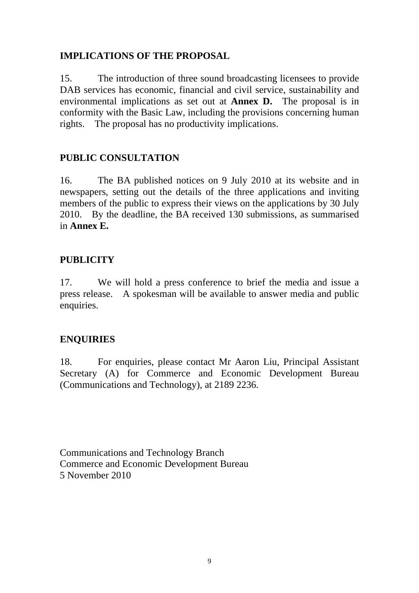## **IMPLICATIONS OF THE PROPOSAL**

15. The introduction of three sound broadcasting licensees to provide DAB services has economic, financial and civil service, sustainability and environmental implications as set out at **Annex D.** The proposal is in conformity with the Basic Law, including the provisions concerning human rights. The proposal has no productivity implications.

## **PUBLIC CONSULTATION**

16. The BA published notices on 9 July 2010 at its website and in newspapers, setting out the details of the three applications and inviting members of the public to express their views on the applications by 30 July 2010. By the deadline, the BA received 130 submissions, as summarised in **Annex E.**

## **PUBLICITY**

17. We will hold a press conference to brief the media and issue a press release. A spokesman will be available to answer media and public enquiries.

### **ENQUIRIES**

18. For enquiries, please contact Mr Aaron Liu, Principal Assistant Secretary (A) for Commerce and Economic Development Bureau (Communications and Technology), at 2189 2236.

Communications and Technology Branch Commerce and Economic Development Bureau 5 November 2010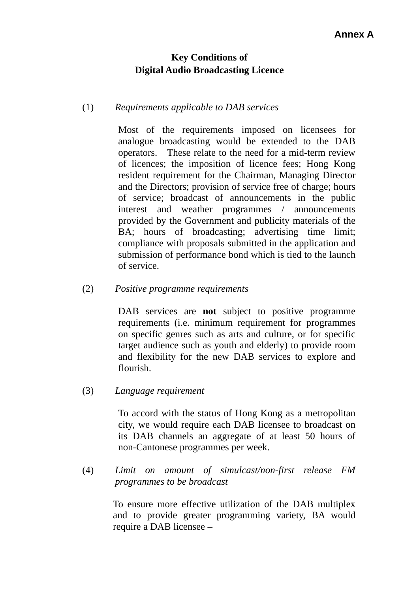# **Key Conditions of Digital Audio Broadcasting Licence**

### (1) *Requirements applicable to DAB services*

 Most of the requirements imposed on licensees for analogue broadcasting would be extended to the DAB operators. These relate to the need for a mid-term review of licences; the imposition of licence fees; Hong Kong resident requirement for the Chairman, Managing Director and the Directors; provision of service free of charge; hours of service; broadcast of announcements in the public interest and weather programmes / announcements provided by the Government and publicity materials of the BA; hours of broadcasting; advertising time limit; compliance with proposals submitted in the application and submission of performance bond which is tied to the launch of service.

### (2) *Positive programme requirements*

DAB services are **not** subject to positive programme requirements (i.e. minimum requirement for programmes on specific genres such as arts and culture, or for specific target audience such as youth and elderly) to provide room and flexibility for the new DAB services to explore and flourish.

### (3) *Language requirement*

 To accord with the status of Hong Kong as a metropolitan city, we would require each DAB licensee to broadcast on its DAB channels an aggregate of at least 50 hours of non-Cantonese programmes per week.

(4) *Limit on amount of simulcast/non-first release FM programmes to be broadcast*

> To ensure more effective utilization of the DAB multiplex and to provide greater programming variety, BA would require a DAB licensee –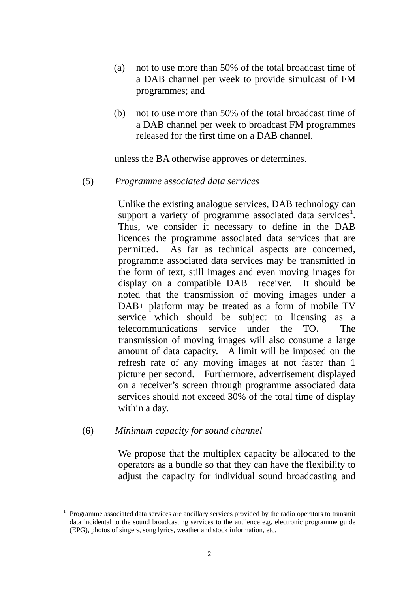- (a) not to use more than 50% of the total broadcast time of a DAB channel per week to provide simulcast of FM programmes; and
- (b) not to use more than 50% of the total broadcast time of a DAB channel per week to broadcast FM programmes released for the first time on a DAB channel,

unless the BA otherwise approves or determines.

#### (5) *Programme* a*ssociated data services*

 Unlike the existing analogue services, DAB technology can support a variety of programme associated data services<sup>1</sup>. Thus, we consider it necessary to define in the DAB licences the programme associated data services that are permitted. As far as technical aspects are concerned, programme associated data services may be transmitted in the form of text, still images and even moving images for display on a compatible DAB+ receiver. It should be noted that the transmission of moving images under a DAB+ platform may be treated as a form of mobile TV service which should be subject to licensing as a telecommunications service under the TO. The transmission of moving images will also consume a large amount of data capacity. A limit will be imposed on the refresh rate of any moving images at not faster than 1 picture per second. Furthermore, advertisement displayed on a receiver's screen through programme associated data services should not exceed 30% of the total time of display within a day.

#### (6) *Minimum capacity for sound channel*

<u>.</u>

 We propose that the multiplex capacity be allocated to the operators as a bundle so that they can have the flexibility to adjust the capacity for individual sound broadcasting and

<sup>1</sup> Programme associated data services are ancillary services provided by the radio operators to transmit data incidental to the sound broadcasting services to the audience e.g. electronic programme guide (EPG), photos of singers, song lyrics, weather and stock information, etc.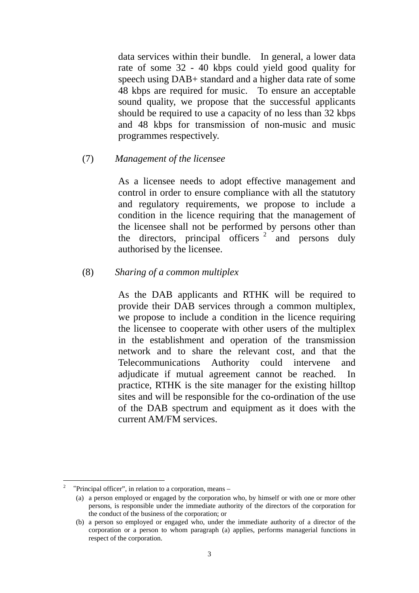data services within their bundle. In general, a lower data rate of some 32 - 40 kbps could yield good quality for speech using DAB+ standard and a higher data rate of some 48 kbps are required for music. To ensure an acceptable sound quality, we propose that the successful applicants should be required to use a capacity of no less than 32 kbps and 48 kbps for transmission of non-music and music programmes respectively.

#### (7) *Management of the licensee*

 As a licensee needs to adopt effective management and control in order to ensure compliance with all the statutory and regulatory requirements, we propose to include a condition in the licence requiring that the management of the licensee shall not be performed by persons other than the directors, principal officers  $2 \int$  and persons duly authorised by the licensee.

#### (8) *Sharing of a common multiplex*

As the DAB applicants and RTHK will be required to provide their DAB services through a common multiplex, we propose to include a condition in the licence requiring the licensee to cooperate with other users of the multiplex in the establishment and operation of the transmission network and to share the relevant cost, and that the Telecommunications Authority could intervene and adjudicate if mutual agreement cannot be reached. In practice, RTHK is the site manager for the existing hilltop sites and will be responsible for the co-ordination of the use of the DAB spectrum and equipment as it does with the current AM/FM services.

1

<sup>&</sup>lt;sup>2</sup> "Principal officer", in relation to a corporation, means –

<sup>(</sup>a) a person employed or engaged by the corporation who, by himself or with one or more other persons, is responsible under the immediate authority of the directors of the corporation for the conduct of the business of the corporation; or

<sup>(</sup>b) a person so employed or engaged who, under the immediate authority of a director of the corporation or a person to whom paragraph (a) applies, performs managerial functions in respect of the corporation.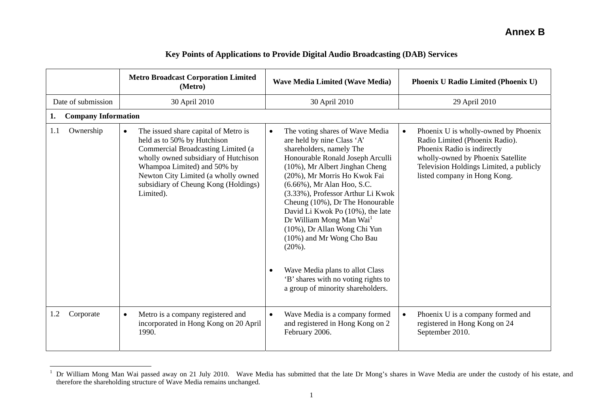|                                  | <b>Metro Broadcast Corporation Limited</b><br>(Metro)                                                                                                                                                                                                                                     | <b>Wave Media Limited (Wave Media)</b>                                                                                                                                                                                                                                                                                                                                                                                                                                                                                                                                                                | Phoenix U Radio Limited (Phoenix U)                                                                                                                                                                                                |
|----------------------------------|-------------------------------------------------------------------------------------------------------------------------------------------------------------------------------------------------------------------------------------------------------------------------------------------|-------------------------------------------------------------------------------------------------------------------------------------------------------------------------------------------------------------------------------------------------------------------------------------------------------------------------------------------------------------------------------------------------------------------------------------------------------------------------------------------------------------------------------------------------------------------------------------------------------|------------------------------------------------------------------------------------------------------------------------------------------------------------------------------------------------------------------------------------|
| Date of submission               | 30 April 2010                                                                                                                                                                                                                                                                             | 30 April 2010                                                                                                                                                                                                                                                                                                                                                                                                                                                                                                                                                                                         | 29 April 2010                                                                                                                                                                                                                      |
| <b>Company Information</b><br>1. |                                                                                                                                                                                                                                                                                           |                                                                                                                                                                                                                                                                                                                                                                                                                                                                                                                                                                                                       |                                                                                                                                                                                                                                    |
| Ownership<br>1.1                 | The issued share capital of Metro is<br>$\bullet$<br>held as to 50% by Hutchison<br>Commercial Broadcasting Limited (a<br>wholly owned subsidiary of Hutchison<br>Whampoa Limited) and 50% by<br>Newton City Limited (a wholly owned<br>subsidiary of Cheung Kong (Holdings)<br>Limited). | The voting shares of Wave Media<br>$\bullet$<br>are held by nine Class 'A'<br>shareholders, namely The<br>Honourable Ronald Joseph Arculli<br>(10%), Mr Albert Jinghan Cheng<br>(20%), Mr Morris Ho Kwok Fai<br>(6.66%), Mr Alan Hoo, S.C.<br>(3.33%), Professor Arthur Li Kwok<br>Cheung (10%), Dr The Honourable<br>David Li Kwok Po (10%), the late<br>Dr William Mong Man Wai <sup>1</sup><br>(10%), Dr Allan Wong Chi Yun<br>(10%) and Mr Wong Cho Bau<br>$(20\%)$ .<br>Wave Media plans to allot Class<br>$\bullet$<br>'B' shares with no voting rights to<br>a group of minority shareholders. | Phoenix U is wholly-owned by Phoenix<br>$\bullet$<br>Radio Limited (Phoenix Radio).<br>Phoenix Radio is indirectly<br>wholly-owned by Phoenix Satellite<br>Television Holdings Limited, a publicly<br>listed company in Hong Kong. |
| Corporate<br>1.2                 | Metro is a company registered and<br>$\bullet$<br>incorporated in Hong Kong on 20 April<br>1990.                                                                                                                                                                                          | Wave Media is a company formed<br>$\bullet$<br>and registered in Hong Kong on 2<br>February 2006.                                                                                                                                                                                                                                                                                                                                                                                                                                                                                                     | Phoenix U is a company formed and<br>$\bullet$<br>registered in Hong Kong on 24<br>September 2010.                                                                                                                                 |

#### **Key Points of Applications to Provide Digital Audio Broadcasting (DAB) Services**

<sup>&</sup>lt;sup>1</sup> Dr William Mong Man Wai passed away on 21 July 2010. Wave Media has submitted that the late Dr Mong's shares in Wave Media are under the custody of his estate, and therefore the shareholding structure of Wave Media remains unchanged.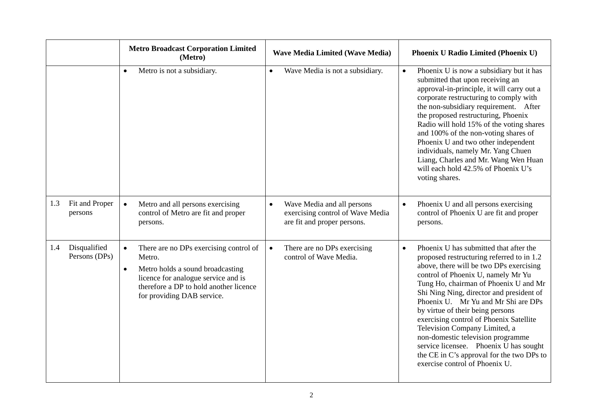|     |                               | <b>Metro Broadcast Corporation Limited</b><br>(Metro)                                                                                                                                                                         | <b>Wave Media Limited (Wave Media)</b>                                                                     | <b>Phoenix U Radio Limited (Phoenix U)</b>                                                                                                                                                                                                                                                                                                                                                                                                                                                                                                                                                  |
|-----|-------------------------------|-------------------------------------------------------------------------------------------------------------------------------------------------------------------------------------------------------------------------------|------------------------------------------------------------------------------------------------------------|---------------------------------------------------------------------------------------------------------------------------------------------------------------------------------------------------------------------------------------------------------------------------------------------------------------------------------------------------------------------------------------------------------------------------------------------------------------------------------------------------------------------------------------------------------------------------------------------|
|     |                               | Metro is not a subsidiary.<br>$\bullet$                                                                                                                                                                                       | Wave Media is not a subsidiary.<br>$\bullet$                                                               | Phoenix U is now a subsidiary but it has<br>$\bullet$<br>submitted that upon receiving an<br>approval-in-principle, it will carry out a<br>corporate restructuring to comply with<br>the non-subsidiary requirement. After<br>the proposed restructuring, Phoenix<br>Radio will hold 15% of the voting shares<br>and 100% of the non-voting shares of<br>Phoenix U and two other independent<br>individuals, namely Mr. Yang Chuen<br>Liang, Charles and Mr. Wang Wen Huan<br>will each hold 42.5% of Phoenix U's<br>voting shares.                                                         |
| 1.3 | Fit and Proper<br>persons     | Metro and all persons exercising<br>$\bullet$<br>control of Metro are fit and proper<br>persons.                                                                                                                              | Wave Media and all persons<br>$\bullet$<br>exercising control of Wave Media<br>are fit and proper persons. | Phoenix U and all persons exercising<br>$\bullet$<br>control of Phoenix U are fit and proper<br>persons.                                                                                                                                                                                                                                                                                                                                                                                                                                                                                    |
| 1.4 | Disqualified<br>Persons (DPs) | There are no DPs exercising control of<br>$\bullet$<br>Metro.<br>Metro holds a sound broadcasting<br>$\bullet$<br>licence for analogue service and is<br>therefore a DP to hold another licence<br>for providing DAB service. | There are no DPs exercising<br>$\bullet$<br>control of Wave Media.                                         | Phoenix U has submitted that after the<br>$\bullet$<br>proposed restructuring referred to in 1.2<br>above, there will be two DPs exercising<br>control of Phoenix U, namely Mr Yu<br>Tung Ho, chairman of Phoenix U and Mr<br>Shi Ning Ning, director and president of<br>Phoenix U. Mr Yu and Mr Shi are DPs<br>by virtue of their being persons<br>exercising control of Phoenix Satellite<br>Television Company Limited, a<br>non-domestic television programme<br>service licensee. Phoenix U has sought<br>the CE in C's approval for the two DPs to<br>exercise control of Phoenix U. |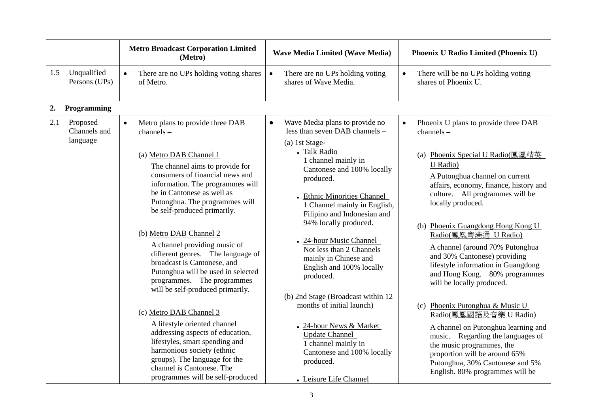|     |                                      | <b>Metro Broadcast Corporation Limited</b><br>(Metro)                                                                                                                                                                                                                                                                                                                                                                                                                                                                                                                                                                                                                                                                                                                                                     | <b>Wave Media Limited (Wave Media)</b>                                                                                                                                                                                                                                                                                                                                                                                                                                                                                                                                                                                                                    | Phoenix U Radio Limited (Phoenix U)                                                                                                                                                                                                                                                                                                                                                                                                                                                                                                                                                                                                                                                                                                                                    |
|-----|--------------------------------------|-----------------------------------------------------------------------------------------------------------------------------------------------------------------------------------------------------------------------------------------------------------------------------------------------------------------------------------------------------------------------------------------------------------------------------------------------------------------------------------------------------------------------------------------------------------------------------------------------------------------------------------------------------------------------------------------------------------------------------------------------------------------------------------------------------------|-----------------------------------------------------------------------------------------------------------------------------------------------------------------------------------------------------------------------------------------------------------------------------------------------------------------------------------------------------------------------------------------------------------------------------------------------------------------------------------------------------------------------------------------------------------------------------------------------------------------------------------------------------------|------------------------------------------------------------------------------------------------------------------------------------------------------------------------------------------------------------------------------------------------------------------------------------------------------------------------------------------------------------------------------------------------------------------------------------------------------------------------------------------------------------------------------------------------------------------------------------------------------------------------------------------------------------------------------------------------------------------------------------------------------------------------|
| 1.5 | Unqualified<br>Persons (UPs)         | There are no UPs holding voting shares<br>$\bullet$<br>of Metro.                                                                                                                                                                                                                                                                                                                                                                                                                                                                                                                                                                                                                                                                                                                                          | There are no UPs holding voting<br>$\bullet$<br>shares of Wave Media.                                                                                                                                                                                                                                                                                                                                                                                                                                                                                                                                                                                     | There will be no UPs holding voting<br>$\bullet$<br>shares of Phoenix U.                                                                                                                                                                                                                                                                                                                                                                                                                                                                                                                                                                                                                                                                                               |
| 2.  | Programming                          |                                                                                                                                                                                                                                                                                                                                                                                                                                                                                                                                                                                                                                                                                                                                                                                                           |                                                                                                                                                                                                                                                                                                                                                                                                                                                                                                                                                                                                                                                           |                                                                                                                                                                                                                                                                                                                                                                                                                                                                                                                                                                                                                                                                                                                                                                        |
| 2.1 | Proposed<br>Channels and<br>language | Metro plans to provide three DAB<br>$\bullet$<br>$channels -$<br>(a) Metro DAB Channel 1<br>The channel aims to provide for<br>consumers of financial news and<br>information. The programmes will<br>be in Cantonese as well as<br>Putonghua. The programmes will<br>be self-produced primarily.<br>(b) Metro DAB Channel 2<br>A channel providing music of<br>different genres. The language of<br>broadcast is Cantonese, and<br>Putonghua will be used in selected<br>programmes. The programmes<br>will be self-produced primarily.<br>(c) Metro DAB Channel 3<br>A lifestyle oriented channel<br>addressing aspects of education,<br>lifestyles, smart spending and<br>harmonious society (ethnic<br>groups). The language for the<br>channel is Cantonese. The<br>programmes will be self-produced | Wave Media plans to provide no<br>$\bullet$<br>less than seven DAB channels -<br>(a) 1st Stage-<br>- Talk Radio<br>1 channel mainly in<br>Cantonese and 100% locally<br>produced.<br><b>Ethnic Minorities Channel</b><br>1 Channel mainly in English,<br>Filipino and Indonesian and<br>94% locally produced.<br>- 24-hour Music Channel<br>Not less than 2 Channels<br>mainly in Chinese and<br>English and 100% locally<br>produced.<br>(b) 2nd Stage (Broadcast within 12<br>months of initial launch)<br>- 24-hour News & Market<br><b>Update Channel</b><br>1 channel mainly in<br>Cantonese and 100% locally<br>produced.<br>- Leisure Life Channel | Phoenix U plans to provide three DAB<br>$\bullet$<br>$channels -$<br>(a) Phoenix Special U Radio(鳳凰精英<br>U Radio)<br>A Putonghua channel on current<br>affairs, economy, finance, history and<br>culture. All programmes will be<br>locally produced.<br>(b) Phoenix Guangdong Hong Kong U<br>Radio(鳳凰粤港通 U Radio)<br>A channel (around 70% Putonghua<br>and 30% Cantonese) providing<br>lifestyle information in Guangdong<br>and Hong Kong. 80% programmes<br>will be locally produced.<br>(c) Phoenix Putonghua & Music U<br>Radio(鳳凰國語及音樂 U Radio)<br>A channel on Putonghua learning and<br>music. Regarding the languages of<br>the music programmes, the<br>proportion will be around 65%<br>Putonghua, 30% Cantonese and 5%<br>English. 80% programmes will be |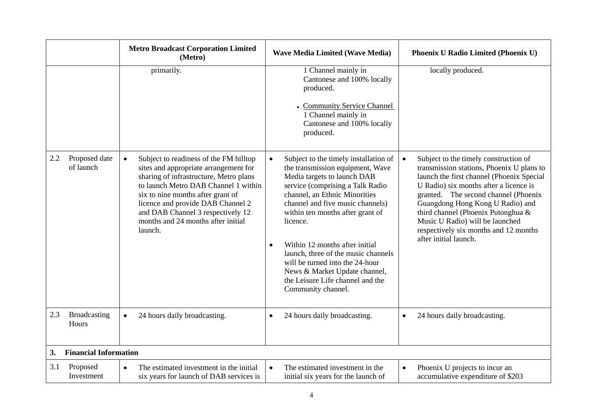|               |                              | <b>Metro Broadcast Corporation Limited</b><br>(Metro)                                                                                                                                                                                                                                                                                          | <b>Wave Media Limited (Wave Media)</b>                                                                                                                                                                                                                                                                                                                                                                                                                                                             | <b>Phoenix U Radio Limited (Phoenix U)</b>                                                                                                                                                                                                                                                                                                                                                       |
|---------------|------------------------------|------------------------------------------------------------------------------------------------------------------------------------------------------------------------------------------------------------------------------------------------------------------------------------------------------------------------------------------------|----------------------------------------------------------------------------------------------------------------------------------------------------------------------------------------------------------------------------------------------------------------------------------------------------------------------------------------------------------------------------------------------------------------------------------------------------------------------------------------------------|--------------------------------------------------------------------------------------------------------------------------------------------------------------------------------------------------------------------------------------------------------------------------------------------------------------------------------------------------------------------------------------------------|
|               |                              | primarily.                                                                                                                                                                                                                                                                                                                                     | 1 Channel mainly in<br>Cantonese and 100% locally<br>produced.<br>- Community Service Channel<br>1 Channel mainly in<br>Cantonese and 100% locally<br>produced.                                                                                                                                                                                                                                                                                                                                    | locally produced.                                                                                                                                                                                                                                                                                                                                                                                |
| $2.2^{\circ}$ | Proposed date<br>of launch   | Subject to readiness of the FM hilltop<br>$\bullet$<br>sites and appropriate arrangement for<br>sharing of infrastructure, Metro plans<br>to launch Metro DAB Channel 1 within<br>six to nine months after grant of<br>licence and provide DAB Channel 2<br>and DAB Channel 3 respectively 12<br>months and 24 months after initial<br>launch. | Subject to the timely installation of<br>$\bullet$<br>the transmission equipment, Wave<br>Media targets to launch DAB<br>service (comprising a Talk Radio<br>channel, an Ethnic Minorities<br>channel and five music channels)<br>within ten months after grant of<br>licence.<br>Within 12 months after initial<br>$\bullet$<br>launch, three of the music channels<br>will be turned into the 24-hour<br>News & Market Update channel,<br>the Leisure Life channel and the<br>Community channel. | Subject to the timely construction of<br>transmission stations, Phoenix U plans to<br>launch the first channel (Phoenix Special<br>U Radio) six months after a licence is<br>granted. The second channel (Phoenix<br>Guangdong Hong Kong U Radio) and<br>third channel (Phoenix Putonghua &<br>Music U Radio) will be launched<br>respectively six months and 12 months<br>after initial launch. |
| 2.3           | Broadcasting<br>Hours        | 24 hours daily broadcasting.<br>$\bullet$                                                                                                                                                                                                                                                                                                      | 24 hours daily broadcasting.<br>$\bullet$                                                                                                                                                                                                                                                                                                                                                                                                                                                          | 24 hours daily broadcasting.<br>$\bullet$                                                                                                                                                                                                                                                                                                                                                        |
| 3.            | <b>Financial Information</b> |                                                                                                                                                                                                                                                                                                                                                |                                                                                                                                                                                                                                                                                                                                                                                                                                                                                                    |                                                                                                                                                                                                                                                                                                                                                                                                  |
| 3.1           | Proposed<br>Investment       | The estimated investment in the initial<br>$\bullet$<br>six years for launch of DAB services is                                                                                                                                                                                                                                                | The estimated investment in the<br>$\bullet$<br>initial six years for the launch of                                                                                                                                                                                                                                                                                                                                                                                                                | Phoenix U projects to incur an<br>$\bullet$<br>accumulative expenditure of \$203                                                                                                                                                                                                                                                                                                                 |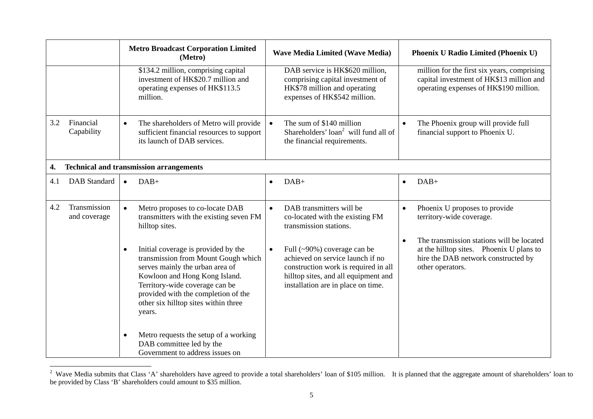|     |                                                | <b>Metro Broadcast Corporation Limited</b><br>(Metro)                                                                                                                                                                                                                                  | <b>Wave Media Limited (Wave Media)</b>                                                                                                                                                             | Phoenix U Radio Limited (Phoenix U)                                                                                                              |  |
|-----|------------------------------------------------|----------------------------------------------------------------------------------------------------------------------------------------------------------------------------------------------------------------------------------------------------------------------------------------|----------------------------------------------------------------------------------------------------------------------------------------------------------------------------------------------------|--------------------------------------------------------------------------------------------------------------------------------------------------|--|
|     |                                                | \$134.2 million, comprising capital<br>investment of HK\$20.7 million and<br>operating expenses of HK\$113.5<br>million.                                                                                                                                                               | DAB service is HK\$620 million,<br>comprising capital investment of<br>HK\$78 million and operating<br>expenses of HK\$542 million.                                                                | million for the first six years, comprising<br>capital investment of HK\$13 million and<br>operating expenses of HK\$190 million.                |  |
| 3.2 | Financial<br>Capability                        | The shareholders of Metro will provide<br>$\bullet$<br>sufficient financial resources to support<br>its launch of DAB services.                                                                                                                                                        | The sum of \$140 million<br>Shareholders' loan <sup>2</sup> will fund all of<br>the financial requirements.                                                                                        | The Phoenix group will provide full<br>financial support to Phoenix U.                                                                           |  |
| 4.  | <b>Technical and transmission arrangements</b> |                                                                                                                                                                                                                                                                                        |                                                                                                                                                                                                    |                                                                                                                                                  |  |
| 4.1 | <b>DAB</b> Standard                            | $DAB+$<br>$\bullet$                                                                                                                                                                                                                                                                    | $DAB+$<br>$\bullet$                                                                                                                                                                                | $DAB+$<br>$\bullet$                                                                                                                              |  |
| 4.2 | Transmission<br>and coverage                   | Metro proposes to co-locate DAB<br>$\bullet$<br>transmitters with the existing seven FM<br>hilltop sites.                                                                                                                                                                              | DAB transmitters will be<br>$\bullet$<br>co-located with the existing FM<br>transmission stations.                                                                                                 | Phoenix U proposes to provide<br>territory-wide coverage.                                                                                        |  |
|     |                                                | Initial coverage is provided by the<br>$\bullet$<br>transmission from Mount Gough which<br>serves mainly the urban area of<br>Kowloon and Hong Kong Island.<br>Territory-wide coverage can be<br>provided with the completion of the<br>other six hilltop sites within three<br>years. | Full (~90%) coverage can be<br>$\bullet$<br>achieved on service launch if no<br>construction work is required in all<br>hilltop sites, and all equipment and<br>installation are in place on time. | The transmission stations will be located<br>at the hilltop sites. Phoenix U plans to<br>hire the DAB network constructed by<br>other operators. |  |
|     |                                                | Metro requests the setup of a working<br>$\bullet$<br>DAB committee led by the<br>Government to address issues on                                                                                                                                                                      |                                                                                                                                                                                                    |                                                                                                                                                  |  |

<sup>&</sup>lt;sup>2</sup> Wave Media submits that Class 'A' shareholders have agreed to provide a total shareholders' loan of \$105 million. It is planned that the aggregate amount of shareholders' loan to be provided by Class 'B' shareholders could amount to \$35 million.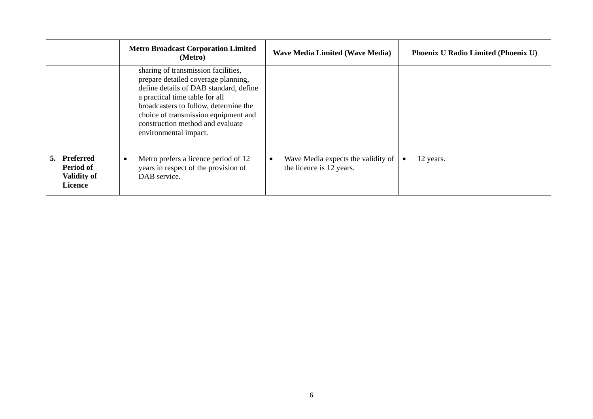|                                                                   | <b>Metro Broadcast Corporation Limited</b><br>(Metro)                                                                                                                                                                                                                                                | <b>Wave Media Limited (Wave Media)</b>                                      | <b>Phoenix U Radio Limited (Phoenix U)</b> |
|-------------------------------------------------------------------|------------------------------------------------------------------------------------------------------------------------------------------------------------------------------------------------------------------------------------------------------------------------------------------------------|-----------------------------------------------------------------------------|--------------------------------------------|
|                                                                   | sharing of transmission facilities,<br>prepare detailed coverage planning,<br>define details of DAB standard, define<br>a practical time table for all<br>broadcasters to follow, determine the<br>choice of transmission equipment and<br>construction method and evaluate<br>environmental impact. |                                                                             |                                            |
| 5. Preferred<br>Period of<br><b>Validity of</b><br><b>Licence</b> | Metro prefers a licence period of 12<br>years in respect of the provision of<br>DAB service.                                                                                                                                                                                                         | Wave Media expects the validity of<br>$\bullet$<br>the licence is 12 years. | 12 years.                                  |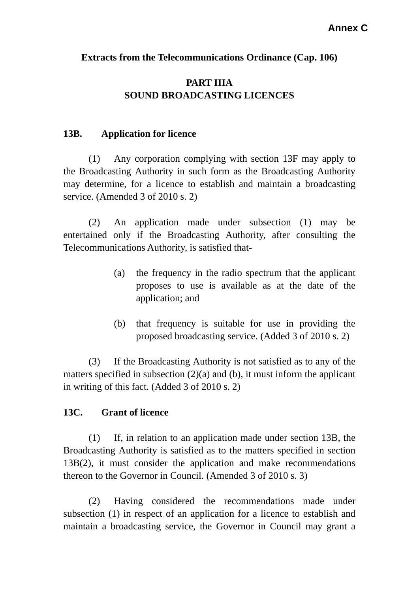### **Extracts from the Telecommunications Ordinance (Cap. 106)**

## **PART IIIA SOUND BROADCASTING LICENCES**

#### **13B. Application for licence**

 (1) Any corporation complying with section 13F may apply to the Broadcasting Authority in such form as the Broadcasting Authority may determine, for a licence to establish and maintain a broadcasting service. (Amended 3 of 2010 s. 2)

 (2) An application made under subsection (1) may be entertained only if the Broadcasting Authority, after consulting the Telecommunications Authority, is satisfied that-

- (a) the frequency in the radio spectrum that the applicant proposes to use is available as at the date of the application; and
- (b) that frequency is suitable for use in providing the proposed broadcasting service. (Added 3 of 2010 s. 2)

 (3) If the Broadcasting Authority is not satisfied as to any of the matters specified in subsection (2)(a) and (b), it must inform the applicant in writing of this fact. (Added 3 of 2010 s. 2)

### **13C. Grant of licence**

 (1) If, in relation to an application made under section 13B, the Broadcasting Authority is satisfied as to the matters specified in section 13B(2), it must consider the application and make recommendations thereon to the Governor in Council. (Amended 3 of 2010 s. 3)

 (2) Having considered the recommendations made under subsection (1) in respect of an application for a licence to establish and maintain a broadcasting service, the Governor in Council may grant a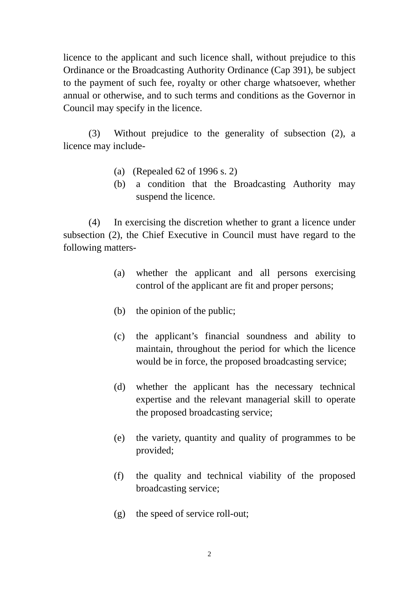licence to the applicant and such licence shall, without prejudice to this Ordinance or the Broadcasting Authority Ordinance (Cap 391), be subject to the payment of such fee, royalty or other charge whatsoever, whether annual or otherwise, and to such terms and conditions as the Governor in Council may specify in the licence.

 (3) Without prejudice to the generality of subsection (2), a licence may include-

- (a) (Repealed 62 of 1996 s. 2)
- (b) a condition that the Broadcasting Authority may suspend the licence.

 (4) In exercising the discretion whether to grant a licence under subsection (2), the Chief Executive in Council must have regard to the following matters-

- (a) whether the applicant and all persons exercising control of the applicant are fit and proper persons;
- (b) the opinion of the public;
- (c) the applicant's financial soundness and ability to maintain, throughout the period for which the licence would be in force, the proposed broadcasting service;
- (d) whether the applicant has the necessary technical expertise and the relevant managerial skill to operate the proposed broadcasting service;
- (e) the variety, quantity and quality of programmes to be provided;
- (f) the quality and technical viability of the proposed broadcasting service;
- (g) the speed of service roll-out;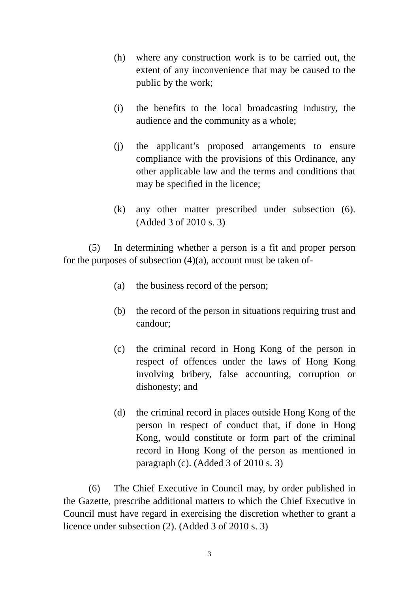- (h) where any construction work is to be carried out, the extent of any inconvenience that may be caused to the public by the work;
- (i) the benefits to the local broadcasting industry, the audience and the community as a whole;
- (j) the applicant's proposed arrangements to ensure compliance with the provisions of this Ordinance, any other applicable law and the terms and conditions that may be specified in the licence;
- (k) any other matter prescribed under subsection (6). (Added 3 of 2010 s. 3)

 (5) In determining whether a person is a fit and proper person for the purposes of subsection  $(4)(a)$ , account must be taken of-

- (a) the business record of the person;
- (b) the record of the person in situations requiring trust and candour;
- (c) the criminal record in Hong Kong of the person in respect of offences under the laws of Hong Kong involving bribery, false accounting, corruption or dishonesty; and
- (d) the criminal record in places outside Hong Kong of the person in respect of conduct that, if done in Hong Kong, would constitute or form part of the criminal record in Hong Kong of the person as mentioned in paragraph (c). (Added 3 of 2010 s. 3)

 (6) The Chief Executive in Council may, by order published in the Gazette, prescribe additional matters to which the Chief Executive in Council must have regard in exercising the discretion whether to grant a licence under subsection (2). (Added 3 of 2010 s. 3)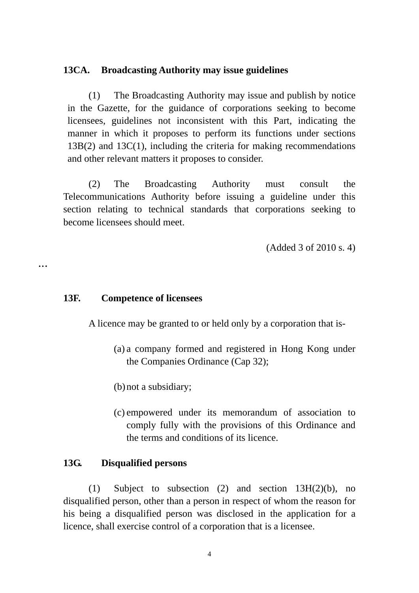#### **13CA. Broadcasting Authority may issue guidelines**

 (1) The Broadcasting Authority may issue and publish by notice in the Gazette, for the guidance of corporations seeking to become licensees, guidelines not inconsistent with this Part, indicating the manner in which it proposes to perform its functions under sections 13B(2) and 13C(1), including the criteria for making recommendations and other relevant matters it proposes to consider.

 (2) The Broadcasting Authority must consult the Telecommunications Authority before issuing a guideline under this section relating to technical standards that corporations seeking to become licensees should meet.

(Added 3 of 2010 s. 4)

…

## **13F. Competence of licensees**

A licence may be granted to or held only by a corporation that is-

- (a) a company formed and registered in Hong Kong under the Companies Ordinance (Cap 32);
- (b) not a subsidiary;
- (c) empowered under its memorandum of association to comply fully with the provisions of this Ordinance and the terms and conditions of its licence.

### **13G. Disqualified persons**

 (1) Subject to subsection (2) and section 13H(2)(b), no disqualified person, other than a person in respect of whom the reason for his being a disqualified person was disclosed in the application for a licence, shall exercise control of a corporation that is a licensee.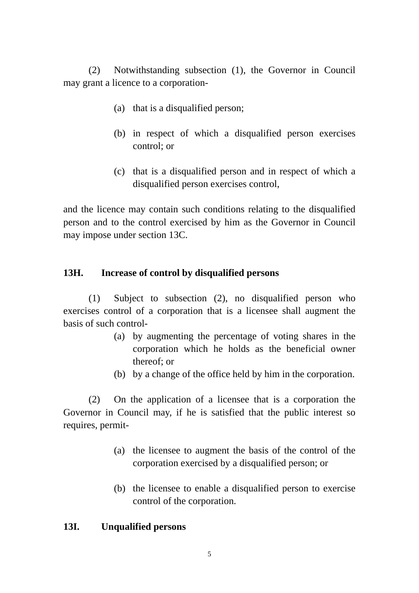(2) Notwithstanding subsection (1), the Governor in Council may grant a licence to a corporation-

- (a) that is a disqualified person;
- (b) in respect of which a disqualified person exercises control; or
- (c) that is a disqualified person and in respect of which a disqualified person exercises control,

and the licence may contain such conditions relating to the disqualified person and to the control exercised by him as the Governor in Council may impose under section 13C.

### **13H. Increase of control by disqualified persons**

 (1) Subject to subsection (2), no disqualified person who exercises control of a corporation that is a licensee shall augment the basis of such control-

- (a) by augmenting the percentage of voting shares in the corporation which he holds as the beneficial owner thereof; or
- (b) by a change of the office held by him in the corporation.

 (2) On the application of a licensee that is a corporation the Governor in Council may, if he is satisfied that the public interest so requires, permit-

- (a) the licensee to augment the basis of the control of the corporation exercised by a disqualified person; or
- (b) the licensee to enable a disqualified person to exercise control of the corporation.

#### **13I. Unqualified persons**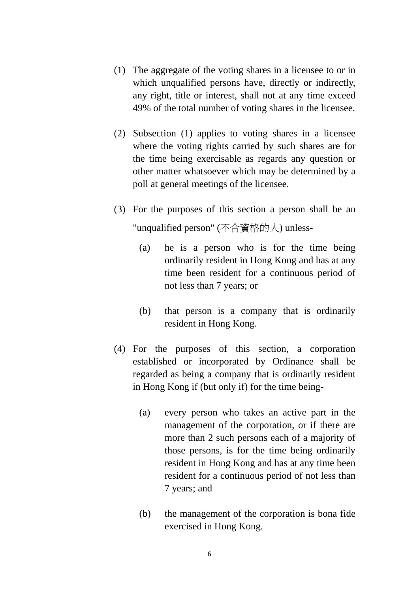- (1) The aggregate of the voting shares in a licensee to or in which unqualified persons have, directly or indirectly, any right, title or interest, shall not at any time exceed 49% of the total number of voting shares in the licensee.
- (2) Subsection (1) applies to voting shares in a licensee where the voting rights carried by such shares are for the time being exercisable as regards any question or other matter whatsoever which may be determined by a poll at general meetings of the licensee.
- (3) For the purposes of this section a person shall be an "unqualified person" (不合資格的人) unless-
	- (a) he is a person who is for the time being ordinarily resident in Hong Kong and has at any time been resident for a continuous period of not less than 7 years; or
	- (b) that person is a company that is ordinarily resident in Hong Kong.
- (4) For the purposes of this section, a corporation established or incorporated by Ordinance shall be regarded as being a company that is ordinarily resident in Hong Kong if (but only if) for the time being-
	- (a) every person who takes an active part in the management of the corporation, or if there are more than 2 such persons each of a majority of those persons, is for the time being ordinarily resident in Hong Kong and has at any time been resident for a continuous period of not less than 7 years; and
	- (b) the management of the corporation is bona fide exercised in Hong Kong.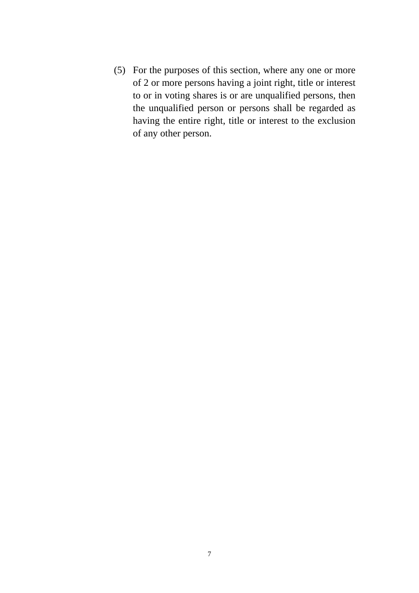(5) For the purposes of this section, where any one or more of 2 or more persons having a joint right, title or interest to or in voting shares is or are unqualified persons, then the unqualified person or persons shall be regarded as having the entire right, title or interest to the exclusion of any other person.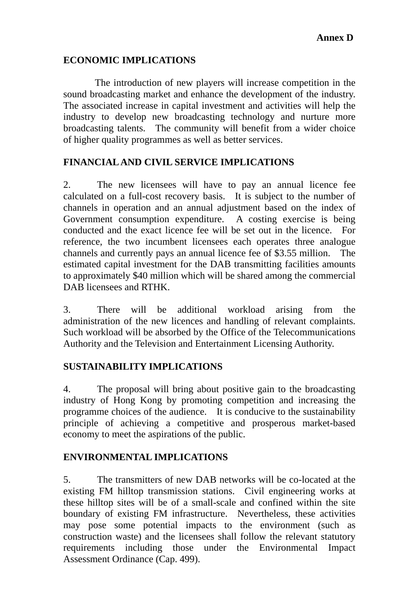## **ECONOMIC IMPLICATIONS**

The introduction of new players will increase competition in the sound broadcasting market and enhance the development of the industry. The associated increase in capital investment and activities will help the industry to develop new broadcasting technology and nurture more broadcasting talents. The community will benefit from a wider choice of higher quality programmes as well as better services.

## **FINANCIAL AND CIVIL SERVICE IMPLICATIONS**

2. The new licensees will have to pay an annual licence fee calculated on a full-cost recovery basis. It is subject to the number of channels in operation and an annual adjustment based on the index of Government consumption expenditure. A costing exercise is being conducted and the exact licence fee will be set out in the licence. For reference, the two incumbent licensees each operates three analogue channels and currently pays an annual licence fee of \$3.55 million. The estimated capital investment for the DAB transmitting facilities amounts to approximately \$40 million which will be shared among the commercial DAB licensees and RTHK.

3. There will be additional workload arising from the administration of the new licences and handling of relevant complaints. Such workload will be absorbed by the Office of the Telecommunications Authority and the Television and Entertainment Licensing Authority.

### **SUSTAINABILITY IMPLICATIONS**

4. The proposal will bring about positive gain to the broadcasting industry of Hong Kong by promoting competition and increasing the programme choices of the audience. It is conducive to the sustainability principle of achieving a competitive and prosperous market-based economy to meet the aspirations of the public.

### **ENVIRONMENTAL IMPLICATIONS**

5. The transmitters of new DAB networks will be co-located at the existing FM hilltop transmission stations. Civil engineering works at these hilltop sites will be of a small-scale and confined within the site boundary of existing FM infrastructure. Nevertheless, these activities may pose some potential impacts to the environment (such as construction waste) and the licensees shall follow the relevant statutory requirements including those under the Environmental Impact Assessment Ordinance (Cap. 499).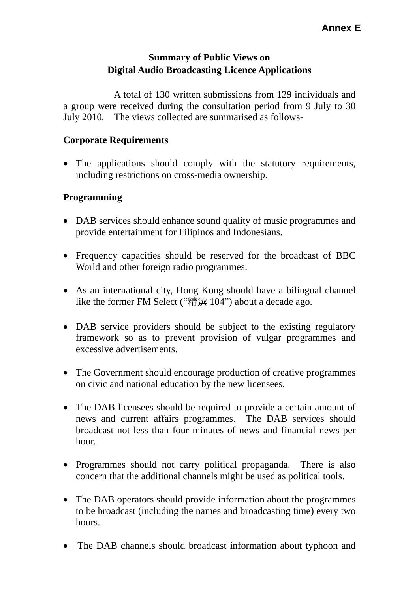# **Summary of Public Views on Digital Audio Broadcasting Licence Applications**

 A total of 130 written submissions from 129 individuals and a group were received during the consultation period from 9 July to 30 July 2010. The views collected are summarised as follows-

## **Corporate Requirements**

 The applications should comply with the statutory requirements, including restrictions on cross-media ownership.

### **Programming**

- DAB services should enhance sound quality of music programmes and provide entertainment for Filipinos and Indonesians.
- Frequency capacities should be reserved for the broadcast of BBC World and other foreign radio programmes.
- As an international city, Hong Kong should have a bilingual channel like the former FM Select ("精選 104") about a decade ago.
- DAB service providers should be subject to the existing regulatory framework so as to prevent provision of vulgar programmes and excessive advertisements.
- The Government should encourage production of creative programmes on civic and national education by the new licensees.
- The DAB licensees should be required to provide a certain amount of news and current affairs programmes. The DAB services should broadcast not less than four minutes of news and financial news per hour.
- Programmes should not carry political propaganda. There is also concern that the additional channels might be used as political tools.
- The DAB operators should provide information about the programmes to be broadcast (including the names and broadcasting time) every two hours.
- The DAB channels should broadcast information about typhoon and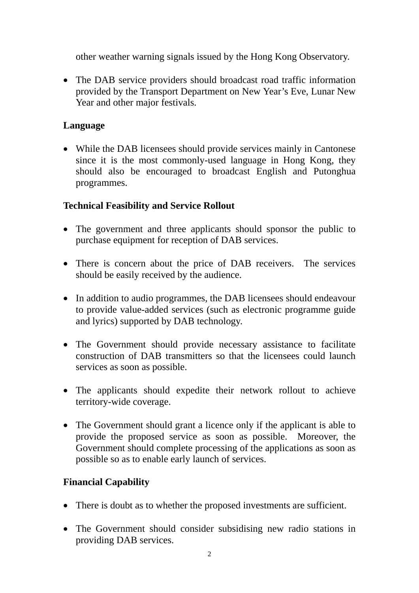other weather warning signals issued by the Hong Kong Observatory.

• The DAB service providers should broadcast road traffic information provided by the Transport Department on New Year's Eve, Lunar New Year and other major festivals.

## **Language**

 While the DAB licensees should provide services mainly in Cantonese since it is the most commonly-used language in Hong Kong, they should also be encouraged to broadcast English and Putonghua programmes.

# **Technical Feasibility and Service Rollout**

- The government and three applicants should sponsor the public to purchase equipment for reception of DAB services.
- There is concern about the price of DAB receivers. The services should be easily received by the audience.
- In addition to audio programmes, the DAB licensees should endeavour to provide value-added services (such as electronic programme guide and lyrics) supported by DAB technology.
- The Government should provide necessary assistance to facilitate construction of DAB transmitters so that the licensees could launch services as soon as possible.
- The applicants should expedite their network rollout to achieve territory-wide coverage.
- The Government should grant a licence only if the applicant is able to provide the proposed service as soon as possible. Moreover, the Government should complete processing of the applications as soon as possible so as to enable early launch of services.

## **Financial Capability**

- There is doubt as to whether the proposed investments are sufficient.
- The Government should consider subsidising new radio stations in providing DAB services.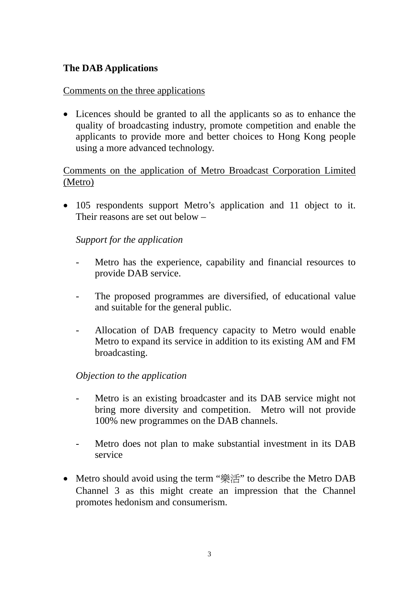# **The DAB Applications**

### Comments on the three applications

 Licences should be granted to all the applicants so as to enhance the quality of broadcasting industry, promote competition and enable the applicants to provide more and better choices to Hong Kong people using a more advanced technology.

## Comments on the application of Metro Broadcast Corporation Limited (Metro)

• 105 respondents support Metro's application and 11 object to it. Their reasons are set out below –

## *Support for the application*

- Metro has the experience, capability and financial resources to provide DAB service.
- The proposed programmes are diversified, of educational value and suitable for the general public.
- Allocation of DAB frequency capacity to Metro would enable Metro to expand its service in addition to its existing AM and FM broadcasting.

### *Objection to the application*

- Metro is an existing broadcaster and its DAB service might not bring more diversity and competition. Metro will not provide 100% new programmes on the DAB channels.
- Metro does not plan to make substantial investment in its DAB service
- Metro should avoid using the term "樂活" to describe the Metro DAB Channel 3 as this might create an impression that the Channel promotes hedonism and consumerism.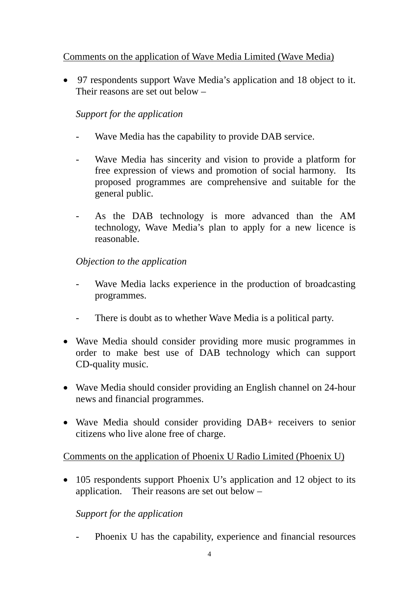## Comments on the application of Wave Media Limited (Wave Media)

 97 respondents support Wave Media's application and 18 object to it. Their reasons are set out below –

# *Support for the application*

- Wave Media has the capability to provide DAB service.
- Wave Media has sincerity and vision to provide a platform for free expression of views and promotion of social harmony. Its proposed programmes are comprehensive and suitable for the general public.
- As the DAB technology is more advanced than the AM technology, Wave Media's plan to apply for a new licence is reasonable.

*Objection to the application* 

- Wave Media lacks experience in the production of broadcasting programmes.
- There is doubt as to whether Wave Media is a political party.
- Wave Media should consider providing more music programmes in order to make best use of DAB technology which can support CD-quality music.
- Wave Media should consider providing an English channel on 24-hour news and financial programmes.
- Wave Media should consider providing DAB+ receivers to senior citizens who live alone free of charge.

## Comments on the application of Phoenix U Radio Limited (Phoenix U)

• 105 respondents support Phoenix U's application and 12 object to its application. Their reasons are set out below –

## *Support for the application*

Phoenix U has the capability, experience and financial resources